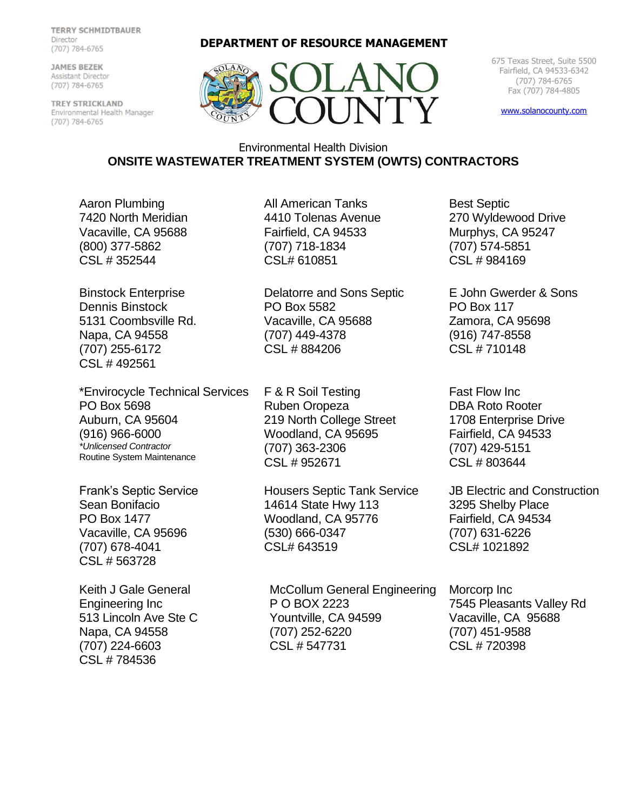**TERRY SCHMIDTBAUER** Director (707) 784-6765

**JAMES BEZEK** Assistant Director (707) 784-6765

TREY STRICKLAND Environmental Health Manager (707) 784-6765

**DEPARTMENT OF RESOURCE MANAGEMENT**



675 Texas Street, Suite 5500 Fairfield, CA 94533-6342 (707) 784-6765 Fax (707) 784-4805

[www.solanocounty.com](http://www.solanocounty.com/)

## Environmental Health Division **ONSITE WASTEWATER TREATMENT SYSTEM (OWTS) CONTRACTORS**

Aaron Plumbing 7420 North Meridian Vacaville, CA 95688 (800) 377-5862 CSL # 352544

Binstock Enterprise Dennis Binstock 5131 Coombsville Rd. Napa, CA 94558 (707) 255-6172 CSL # 492561

\*Envirocycle Technical Services PO Box 5698 Auburn, CA 95604 (916) 966-6000 *\*Unlicensed Contractor* Routine System Maintenance

Frank's Septic Service Sean Bonifacio PO Box 1477 Vacaville, CA 95696 (707) 678-4041 CSL # 563728

Keith J Gale General Engineering Inc 513 Lincoln Ave Ste C Napa, CA 94558 (707) 224-6603 CSL # 784536

All American Tanks 4410 Tolenas Avenue Fairfield, CA 94533 (707) 718-1834 CSL# 610851

Delatorre and Sons Septic PO Box 5582 Vacaville, CA 95688 (707) 449-4378 CSL # 884206

F & R Soil Testing Ruben Oropeza 219 North College Street Woodland, CA 95695 (707) 363-2306 CSL # 952671

Housers Septic Tank Service 14614 State Hwy 113 Woodland, CA 95776 (530) 666-0347 CSL# 643519

McCollum General Engineering P O BOX 2223 Yountville, CA 94599 (707) 252-6220 CSL # 547731

Best Septic 270 Wyldewood Drive Murphys, CA 95247 (707) 574-5851 CSL # 984169

E John Gwerder & Sons PO Box 117 Zamora, CA 95698 (916) 747-8558 CSL # 710148

Fast Flow Inc DBA Roto Rooter 1708 Enterprise Drive Fairfield, CA 94533 (707) 429-5151 CSL # 803644

JB Electric and Construction 3295 Shelby Place Fairfield, CA 94534 (707) 631-6226 CSL# 1021892

Morcorp Inc 7545 Pleasants Valley Rd Vacaville, CA 95688 (707) 451-9588 CSL # 720398